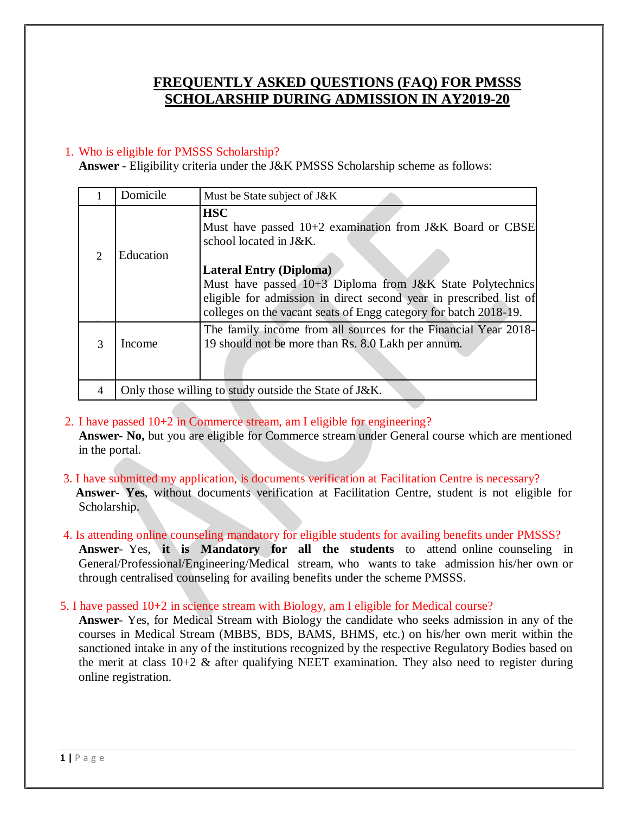## **FREQUENTLY ASKED QUESTIONS (FAQ) FOR PMSSS SCHOLARSHIP DURING ADMISSION IN AY2019-20**

#### 1. Who is eligible for PMSSS Scholarship?

**Answer** - Eligibility criteria under the J&K PMSSS Scholarship scheme as follows:

|               | Domicile                                              | Must be State subject of J&K                                                                                                                                                                                                                                                                                                                |  |
|---------------|-------------------------------------------------------|---------------------------------------------------------------------------------------------------------------------------------------------------------------------------------------------------------------------------------------------------------------------------------------------------------------------------------------------|--|
| $\mathcal{D}$ | Education                                             | <b>HSC</b><br>Must have passed 10+2 examination from J&K Board or CBSE<br>school located in J&K.<br><b>Lateral Entry (Diploma)</b><br>Must have passed $10+3$ Diploma from J&K State Polytechnics<br>eligible for admission in direct second year in prescribed list of<br>colleges on the vacant seats of Engg category for batch 2018-19. |  |
| $\mathcal{R}$ | Income                                                | The family income from all sources for the Financial Year 2018-<br>19 should not be more than Rs. 8.0 Lakh per annum.                                                                                                                                                                                                                       |  |
|               | Only those willing to study outside the State of J&K. |                                                                                                                                                                                                                                                                                                                                             |  |

- 2. I have passed 10+2 in Commerce stream, am I eligible for engineering? **Answer**- **No,** but you are eligible for Commerce stream under General course which are mentioned in the portal.
- 3. I have submitted my application, is documents verification at Facilitation Centre is necessary? **Answer**- **Yes**, without documents verification at Facilitation Centre, student is not eligible for Scholarship.
- 4. Is attending online counseling mandatory for eligible students for availing benefits under PMSSS? **Answer**- Yes, **it is Mandatory for all the students** to attend online counseling in General/Professional/Engineering/Medical stream, who wants to take admission his/her own or through centralised counseling for availing benefits under the scheme PMSSS.
- 5. I have passed 10+2 in science stream with Biology, am I eligible for Medical course?

**Answer**- Yes, for Medical Stream with Biology the candidate who seeks admission in any of the courses in Medical Stream (MBBS, BDS, BAMS, BHMS, etc.) on his/her own merit within the sanctioned intake in any of the institutions recognized by the respective Regulatory Bodies based on the merit at class  $10+2$  & after qualifying NEET examination. They also need to register during online registration.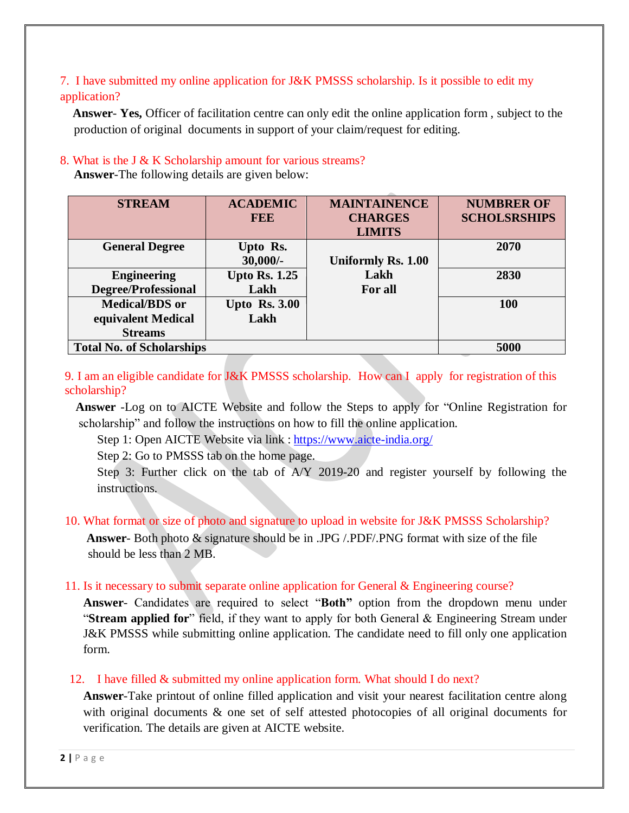### 7. I have submitted my online application for J&K PMSSS scholarship. Is it possible to edit my application?

 **Answer**- **Yes,** Officer of facilitation centre can only edit the online application form , subject to the production of original documents in support of your claim/request for editing.

### 8. What is the J & K Scholarship amount for various streams?

**Answer**-The following details are given below:

| <b>STREAM</b>                    | <b>ACADEMIC</b><br><b>REE</b> | <b>MAINTAINENCE</b><br><b>CHARGES</b><br><b>LIMITS</b> | <b>NUMBRER OF</b><br><b>SCHOLSRSHIPS</b> |
|----------------------------------|-------------------------------|--------------------------------------------------------|------------------------------------------|
| <b>General Degree</b>            | Upto Rs.                      |                                                        | 2070                                     |
|                                  | $30,000/$ -                   | Uniformly Rs. 1.00                                     |                                          |
| <b>Engineering</b>               | <b>Upto Rs. 1.25</b>          | Lakh                                                   | 2830                                     |
| <b>Degree/Professional</b>       | Lakh                          | For all                                                |                                          |
| <b>Medical/BDS</b> or            | <b>Upto Rs. 3.00</b>          |                                                        | 100                                      |
| equivalent Medical               | Lakh                          |                                                        |                                          |
| <b>Streams</b>                   |                               |                                                        |                                          |
| <b>Total No. of Scholarships</b> | 5000                          |                                                        |                                          |

9. I am an eligible candidate for J&K PMSSS scholarship. How can I apply for registration of this scholarship?

 **Answer** -Log on to AICTE Website and follow the Steps to apply for "Online Registration for scholarship" and follow the instructions on how to fill the online application.

Step 1: Open AICTE Website via link : <https://www.aicte-india.org/>

Step 2: Go to PMSSS tab on the home page.

Step 3: Further click on the tab of A/Y 2019-20 and register yourself by following the instructions.

# 10. What format or size of photo and signature to upload in website for J&K PMSSS Scholarship?

 **Answer**- Both photo & signature should be in .JPG /.PDF/.PNG format with size of the file should be less than 2 MB.

## 11. Is it necessary to submit separate online application for General & Engineering course?

**Answer**- Candidates are required to select "**Both"** option from the dropdown menu under "**Stream applied for**" field, if they want to apply for both General & Engineering Stream under J&K PMSSS while submitting online application. The candidate need to fill only one application form.

## 12. I have filled & submitted my online application form. What should I do next?

**Answer**-Take printout of online filled application and visit your nearest facilitation centre along with original documents & one set of self attested photocopies of all original documents for verification. The details are given at AICTE website.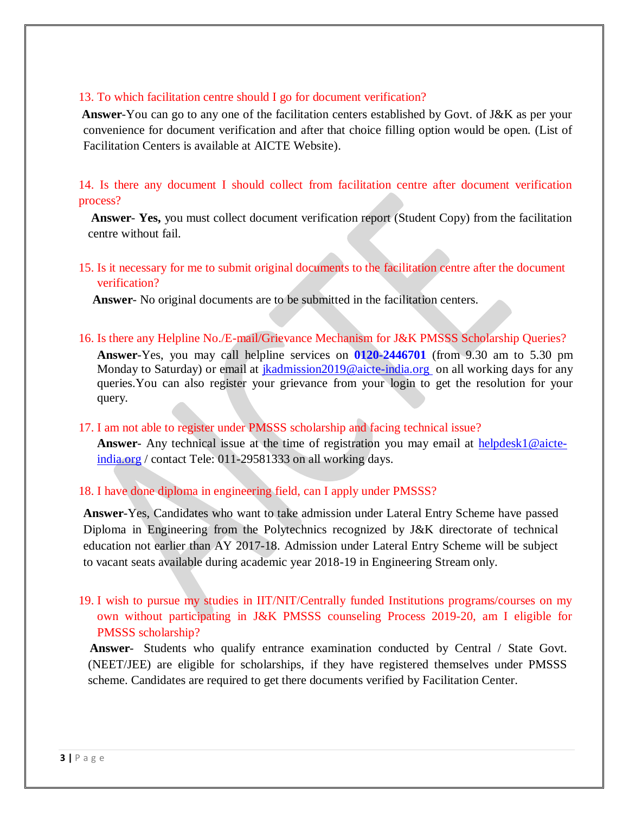#### 13. To which facilitation centre should I go for document verification?

 **Answer**-You can go to any one of the facilitation centers established by Govt. of J&K as per your convenience for document verification and after that choice filling option would be open. (List of Facilitation Centers is available at AICTE Website).

14. Is there any document I should collect from facilitation centre after document verification process?

**Answer**- **Yes,** you must collect document verification report (Student Copy) from the facilitation centre without fail.

15. Is it necessary for me to submit original documents to the facilitation centre after the document verification?

**Answer**- No original documents are to be submitted in the facilitation centers.

16. Is there any Helpline No./E-mail/Grievance Mechanism for J&K PMSSS Scholarship Queries? **Answer**-Yes, you may call helpline services on **0120-2446701** (from 9.30 am to 5.30 pm Monday to Saturday) or email at *jkadmission2019@aicte-india.org* on all working days for any queries.You can also register your grievance from your login to get the resolution for your query.

17. I am not able to register under PMSSS scholarship and facing technical issue?

**Answer**- Any technical issue at the time of registration you may email at [helpdesk1@aicte](mailto:helpdesk1@aicte-india.org)[india.org](mailto:helpdesk1@aicte-india.org) / contact Tele: 011-29581333 on all working days.

### 18. I have done diploma in engineering field, can I apply under PMSSS?

**Answer**-Yes, Candidates who want to take admission under Lateral Entry Scheme have passed Diploma in Engineering from the Polytechnics recognized by J&K directorate of technical education not earlier than AY 2017-18. Admission under Lateral Entry Scheme will be subject to vacant seats available during academic year 2018-19 in Engineering Stream only.

19. I wish to pursue my studies in IIT/NIT/Centrally funded Institutions programs/courses on my own without participating in J&K PMSSS counseling Process 2019-20, am I eligible for PMSSS scholarship?

 **Answer**- Students who qualify entrance examination conducted by Central / State Govt. (NEET/JEE) are eligible for scholarships, if they have registered themselves under PMSSS scheme. Candidates are required to get there documents verified by Facilitation Center.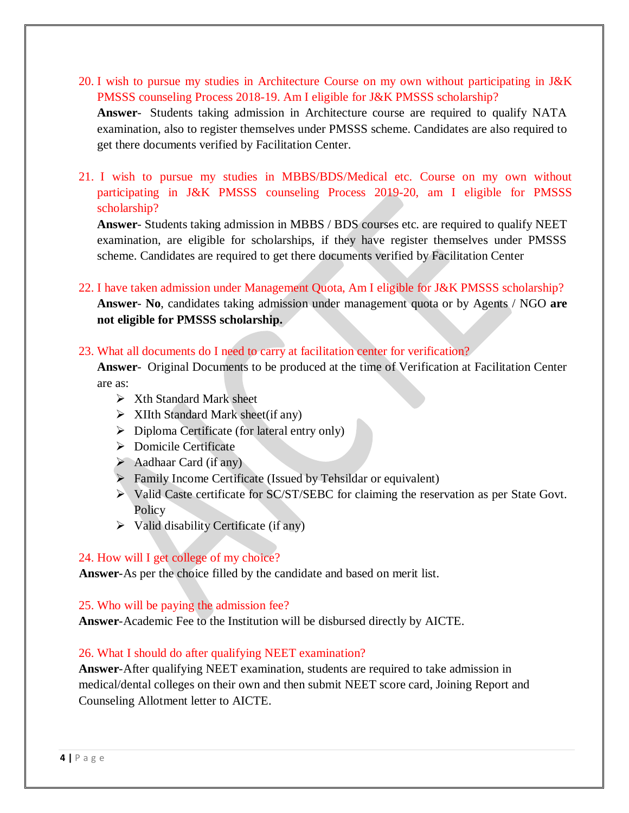- 20. I wish to pursue my studies in Architecture Course on my own without participating in J&K PMSSS counseling Process 2018-19. Am I eligible for J&K PMSSS scholarship? **Answer**- Students taking admission in Architecture course are required to qualify NATA examination, also to register themselves under PMSSS scheme. Candidates are also required to get there documents verified by Facilitation Center.
- 21. I wish to pursue my studies in MBBS/BDS/Medical etc. Course on my own without participating in J&K PMSSS counseling Process 2019-20, am I eligible for PMSSS scholarship?

**Answer**- Students taking admission in MBBS / BDS courses etc. are required to qualify NEET examination, are eligible for scholarships, if they have register themselves under PMSSS scheme. Candidates are required to get there documents verified by Facilitation Center

22. I have taken admission under Management Quota, Am I eligible for J&K PMSSS scholarship?

**Answer**- **No**, candidates taking admission under management quota or by Agents / NGO **are not eligible for PMSSS scholarship.**

### 23. What all documents do I need to carry at facilitation center for verification?

**Answer**- Original Documents to be produced at the time of Verification at Facilitation Center are as:

- $\triangleright$  Xth Standard Mark sheet
- $\triangleright$  XIIth Standard Mark sheet(if any)
- $\triangleright$  Diploma Certificate (for lateral entry only)
- **Domicile Certificate**
- $\blacktriangleright$  Aadhaar Card (if any)
- $\triangleright$  Family Income Certificate (Issued by Tehsildar or equivalent)
- Valid Caste certificate for SC/ST/SEBC for claiming the reservation as per State Govt. Policy
- $\triangleright$  Valid disability Certificate (if any)

### 24. How will I get college of my choice?

**Answer**-As per the choice filled by the candidate and based on merit list.

### 25. Who will be paying the admission fee?

**Answer**-Academic Fee to the Institution will be disbursed directly by AICTE.

### 26. What I should do after qualifying NEET examination?

**Answer**-After qualifying NEET examination, students are required to take admission in medical/dental colleges on their own and then submit NEET score card, Joining Report and Counseling Allotment letter to AICTE.